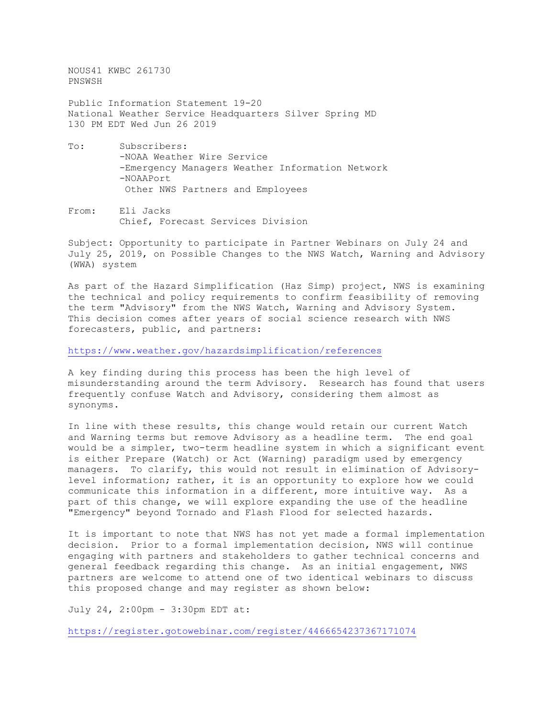NOUS41 KWBC 261730 PNSWSH Public Information Statement 19-20 National Weather Service Headquarters Silver Spring MD 130 PM EDT Wed Jun 26 2019 To: Subscribers: -NOAA Weather Wire Service -Emergency Managers Weather Information Network -NOAAPort

Other NWS Partners and Employees

From: Eli Jacks Chief, Forecast Services Division

Subject: Opportunity to participate in Partner Webinars on July 24 and July 25, 2019, on Possible Changes to the NWS Watch, Warning and Advisory (WWA) system

As part of the Hazard Simplification (Haz Simp) project, NWS is examining the technical and policy requirements to confirm feasibility of removing the term "Advisory" from the NWS Watch, Warning and Advisory System. This decision comes after years of social science research with NWS forecasters, public, and partners:

<https://www.weather.gov/hazardsimplification/references>

A key finding during this process has been the high level of misunderstanding around the term Advisory. Research has found that users frequently confuse Watch and Advisory, considering them almost as synonyms.

In line with these results, this change would retain our current Watch and Warning terms but remove Advisory as a headline term. The end goal would be a simpler, two-term headline system in which a significant event is either Prepare (Watch) or Act (Warning) paradigm used by emergency managers. To clarify, this would not result in elimination of Advisorylevel information; rather, it is an opportunity to explore how we could communicate this information in a different, more intuitive way. As a part of this change, we will explore expanding the use of the headline "Emergency" beyond Tornado and Flash Flood for selected hazards.

It is important to note that NWS has not yet made a formal implementation decision. Prior to a formal implementation decision, NWS will continue engaging with partners and stakeholders to gather technical concerns and general feedback regarding this change. As an initial engagement, NWS partners are welcome to attend one of two identical webinars to discuss this proposed change and may register as shown below:

July 24, 2:00pm - 3:30pm EDT at:

<https://register.gotowebinar.com/register/4466654237367171074>